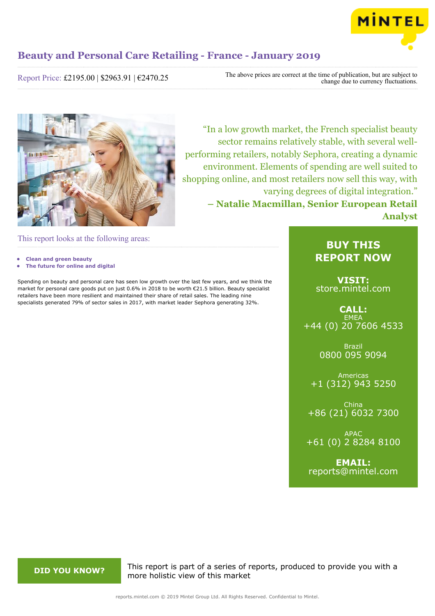

Report Price: £2195.00 | \$2963.91 | €2470.25

The above prices are correct at the time of publication, but are subject to change due to currency fluctuations.



"In a low growth market, the French specialist beauty sector remains relatively stable, with several wellperforming retailers, notably Sephora, creating a dynamic environment. Elements of spending are well suited to shopping online, and most retailers now sell this way, with varying degrees of digital integration." **– Natalie Macmillan, Senior European Retail Analyst**

This report looks at the following areas:

- **• Clean and green beauty**
- **• The future for online and digital**

Spending on beauty and personal care has seen low growth over the last few years, and we think the market for personal care goods put on just 0.6% in 2018 to be worth €21.5 billion. Beauty specialist retailers have been more resilient and maintained their share of retail sales. The leading nine specialists generated 79% of sector sales in 2017, with market leader Sephora generating 32%.

# **BUY THIS REPORT NOW**

**VISIT:** [store.mintel.com](http://reports.mintel.com//display/store/926608/)

**CALL: EMEA** +44 (0) 20 7606 4533

> Brazil 0800 095 9094

Americas +1 (312) 943 5250

China +86 (21) 6032 7300

APAC +61 (0) 2 8284 8100

**EMAIL:** [reports@mintel.com](mailto:reports@mintel.com)

**DID YOU KNOW?** This report is part of a series of reports, produced to provide you with a more holistic view of this market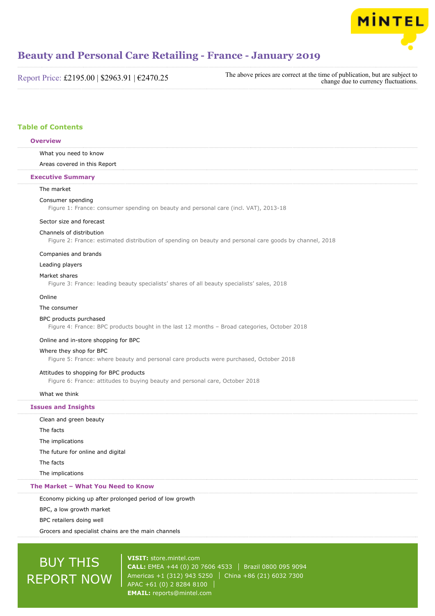

Report Price: £2195.00 | \$2963.91 | €2470.25

The above prices are correct at the time of publication, but are subject to change due to currency fluctuations.

# **Table of Contents**

#### **Overview**

#### What you need to know

Areas covered in this Report

#### **Executive Summary**

## The market

#### Consumer spending

Figure 1: France: consumer spending on beauty and personal care (incl. VAT), 2013-18

#### Sector size and forecast

#### Channels of distribution

Figure 2: France: estimated distribution of spending on beauty and personal care goods by channel, 2018

#### Companies and brands

Leading players

#### Market shares

Figure 3: France: leading beauty specialists' shares of all beauty specialists' sales, 2018

#### Online

### The consumer

## BPC products purchased

Figure 4: France: BPC products bought in the last 12 months – Broad categories, October 2018

#### Online and in-store shopping for BPC

#### Where they shop for BPC

Figure 5: France: where beauty and personal care products were purchased, October 2018

#### Attitudes to shopping for BPC products

Figure 6: France: attitudes to buying beauty and personal care, October 2018

#### What we think

## **Issues and Insights**

| The Market - What You Need to Know |
|------------------------------------|
| The implications                   |
| The facts                          |
| The future for online and digital  |
| The implications                   |
| The facts                          |
| Clean and green beauty             |

#### Economy picking up after prolonged period of low growth

BPC, a low growth market

BPC retailers doing well

Grocers and specialist chains are the main channels

# BUY THIS REPORT NOW

**VISIT:** [store.mintel.com](http://reports.mintel.com//display/store/926608/) **CALL:** EMEA +44 (0) 20 7606 4533 | Brazil 0800 095 9094 Americas +1 (312) 943 5250 | China +86 (21) 6032 7300 APAC +61 (0) 2 8284 8100 **EMAIL:** [reports@mintel.com](mailto:reports@mintel.com)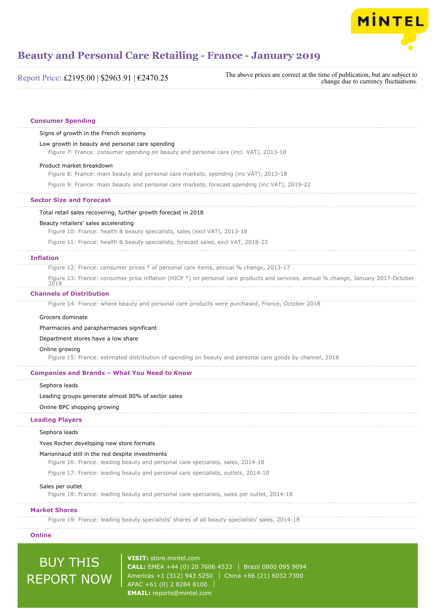

Report Price: £2195.00 | \$2963.91 | €2470.25

The above prices are correct at the time of publication, but are subject to change due to currency fluctuations.

#### **Consumer Spending**

#### Signs of growth in the French economy

#### Low growth in beauty and personal care spending

Figure 7: France: consumer spending on beauty and personal care (incl. VAT), 2013-18

#### Product market breakdown

Figure 8: France: main beauty and personal care markets, spending (inc VAT), 2013-18

Figure 9: France: main beauty and personal care markets, forecast spending (inc VAT), 2019-22

#### **Sector Size and Forecast**

Total retail sales recovering, further growth forecast in 2018

#### Beauty retailers' sales accelerating

Figure 10: France: health & beauty specialists, sales (excl VAT), 2013-18

Figure 11: France: health & beauty specialists, forecast sales, excl VAT, 2018-23

#### **Inflation**

Figure 12: France: consumer prices \* of personal care items, annual % change, 2013-17

Figure 13: France: consumer price inflation (HICP \*) on personal care products and services, annual % change, January 2017-October 2018

#### **Channels of Distribution**

Figure 14: France: where beauty and personal care products were purchased, France, October 2018

### Grocers dominate

Pharmacies and parapharmacies significant

### Department stores have a low share

#### Online growing

Figure 15: France: estimated distribution of spending on beauty and personal care goods by channel, 2018

#### **Companies and Brands – What You Need to Know**

Sephora leads

Leading groups generate almost 80% of sector sales

#### Online BPC shopping growing

#### **Leading Players**

Sephora leads

Yves Rocher developing new store formats

#### Marionnaud still in the red despite investments

Figure 16: France: leading beauty and personal care specialists, sales, 2014-18

Figure 17: France: leading beauty and personal care specialists, outlets, 2014-18

#### Sales per outlet

Figure 18: France: leading beauty and personal care specialists, sales per outlet, 2014-18

#### **Market Shares**

Figure 19: France: leading beauty specialists' shares of all beauty specialists' sales, 2014-18

### **Online**

# BUY THIS REPORT NOW

**VISIT:** [store.mintel.com](http://reports.mintel.com//display/store/926608/) **CALL:** EMEA +44 (0) 20 7606 4533 Brazil 0800 095 9094 Americas +1 (312) 943 5250 | China +86 (21) 6032 7300 APAC +61 (0) 2 8284 8100 **EMAIL:** [reports@mintel.com](mailto:reports@mintel.com)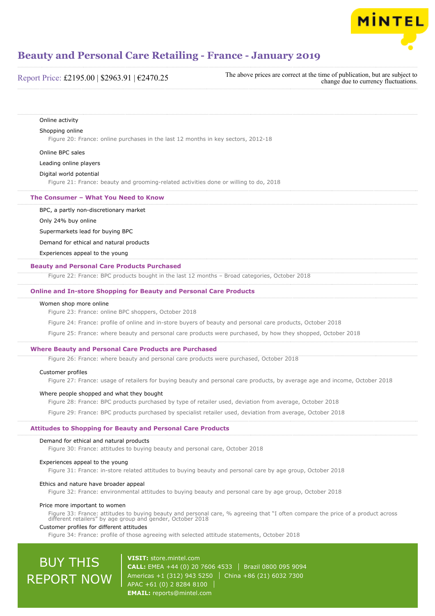

# Report Price: £2195.00 | \$2963.91 | €2470.25

The above prices are correct at the time of publication, but are subject to change due to currency fluctuations.

#### Online activity

#### Shopping online

Figure 20: France: online purchases in the last 12 months in key sectors, 2012-18

#### Online BPC sales

Leading online players

### Digital world potential

Figure 21: France: beauty and grooming-related activities done or willing to do, 2018

### **The Consumer – What You Need to Know**

#### BPC, a partly non-discretionary market

Only 24% buy online

Supermarkets lead for buying BPC

Demand for ethical and natural products

Experiences appeal to the young

#### **Beauty and Personal Care Products Purchased**

Figure 22: France: BPC products bought in the last 12 months – Broad categories, October 2018

#### **Online and In-store Shopping for Beauty and Personal Care Products**

#### Women shop more online

Figure 23: France: online BPC shoppers, October 2018

Figure 24: France: profile of online and in-store buyers of beauty and personal care products, October 2018

Figure 25: France: where beauty and personal care products were purchased, by how they shopped, October 2018

#### **Where Beauty and Personal Care Products are Purchased**

Figure 26: France: where beauty and personal care products were purchased, October 2018

#### Customer profiles

Figure 27: France: usage of retailers for buying beauty and personal care products, by average age and income, October 2018

#### Where people shopped and what they bought

Figure 28: France: BPC products purchased by type of retailer used, deviation from average, October 2018

Figure 29: France: BPC products purchased by specialist retailer used, deviation from average, October 2018

#### **Attitudes to Shopping for Beauty and Personal Care Products**

#### Demand for ethical and natural products

Figure 30: France: attitudes to buying beauty and personal care, October 2018

#### Experiences appeal to the young

Figure 31: France: in-store related attitudes to buying beauty and personal care by age group, October 2018

#### Ethics and nature have broader appeal

Figure 32: France: environmental attitudes to buying beauty and personal care by age group, October 2018

#### Price more important to women

Figure 33: France: attitudes to buying beauty and personal care, % agreeing that "I often compare the price of a product across different retailers" by age group and gender, October 2018

#### Customer profiles for different attitudes

Figure 34: France: profile of those agreeing with selected attitude statements, October 2018

# BUY THIS REPORT NOW

**VISIT:** [store.mintel.com](http://reports.mintel.com//display/store/926608/) **CALL:** EMEA +44 (0) 20 7606 4533 | Brazil 0800 095 9094 Americas +1 (312) 943 5250 | China +86 (21) 6032 7300 APAC +61 (0) 2 8284 8100 **EMAIL:** [reports@mintel.com](mailto:reports@mintel.com)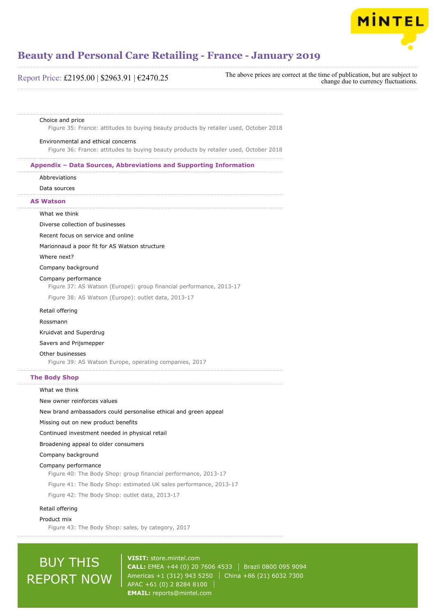

# Report Price: £2195.00 | \$2963.91 | €2470.25

The above prices are correct at the time of publication, but are subject to change due to currency fluctuations.

#### Choice and price

Figure 35: France: attitudes to buying beauty products by retailer used, October 2018

#### Environmental and ethical concerns

Figure 36: France: attitudes to buying beauty products by retailer used, October 2018

#### **Appendix – Data Sources, Abbreviations and Supporting Information**

Abbreviations

Data sources

## **AS Watson**

#### What we think

Diverse collection of businesses

Recent focus on service and online

Marionnaud a poor fit for AS Watson structure

#### Where next?

Company background

#### Company performance

Figure 37: AS Watson (Europe): group financial performance, 2013-17

Figure 38: AS Watson (Europe): outlet data, 2013-17

## Retail offering

#### Rossmann

Kruidvat and Superdrug

#### Savers and Prijsmepper

Other businesses

Figure 39: AS Watson Europe, operating companies, 2017

### **The Body Shop**

#### What we think

New owner reinforces values

New brand ambassadors could personalise ethical and green appeal

Missing out on new product benefits

Continued investment needed in physical retail

Broadening appeal to older consumers

#### Company background

#### Company performance

Figure 40: The Body Shop: group financial performance, 2013-17

Figure 41: The Body Shop: estimated UK sales performance, 2013-17

Figure 42: The Body Shop: outlet data, 2013-17

#### Retail offering

#### Product mix

Figure 43: The Body Shop: sales, by category, 2017

# BUY THIS REPORT NOW

**VISIT:** [store.mintel.com](http://reports.mintel.com//display/store/926608/) **CALL:** EMEA +44 (0) 20 7606 4533 | Brazil 0800 095 9094 Americas +1 (312) 943 5250 | China +86 (21) 6032 7300 APAC +61 (0) 2 8284 8100 **EMAIL:** [reports@mintel.com](mailto:reports@mintel.com)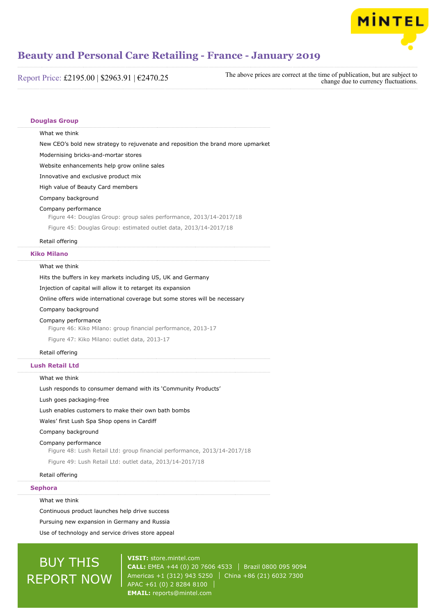

Report Price: £2195.00 | \$2963.91 | €2470.25

The above prices are correct at the time of publication, but are subject to change due to currency fluctuations.

### **Douglas Group**

What we think

New CEO's bold new strategy to rejuvenate and reposition the brand more upmarket

Modernising bricks-and-mortar stores

Website enhancements help grow online sales

Innovative and exclusive product mix

High value of Beauty Card members

Company background

#### Company performance

Figure 44: Douglas Group: group sales performance, 2013/14-2017/18

Figure 45: Douglas Group: estimated outlet data, 2013/14-2017/18

### Retail offering

#### **Kiko Milano**

#### What we think

Hits the buffers in key markets including US, UK and Germany

Injection of capital will allow it to retarget its expansion

Online offers wide international coverage but some stores will be necessary

Company background

#### Company performance

Figure 46: Kiko Milano: group financial performance, 2013-17

Figure 47: Kiko Milano: outlet data, 2013-17

#### Retail offering

## **Lush Retail Ltd**

#### What we think

Lush responds to consumer demand with its 'Community Products'

Lush goes packaging-free

Lush enables customers to make their own bath bombs

## Wales' first Lush Spa Shop opens in Cardiff

Company background

#### Company performance

Figure 48: Lush Retail Ltd: group financial performance, 2013/14-2017/18

Figure 49: Lush Retail Ltd: outlet data, 2013/14-2017/18

#### Retail offering

#### **Sephora**

What we think

Continuous product launches help drive success

Pursuing new expansion in Germany and Russia

Use of technology and service drives store appeal

# BUY THIS REPORT NOW

**VISIT:** [store.mintel.com](http://reports.mintel.com//display/store/926608/) **CALL:** EMEA +44 (0) 20 7606 4533 Brazil 0800 095 9094 Americas +1 (312) 943 5250 | China +86 (21) 6032 7300 APAC +61 (0) 2 8284 8100 **EMAIL:** [reports@mintel.com](mailto:reports@mintel.com)